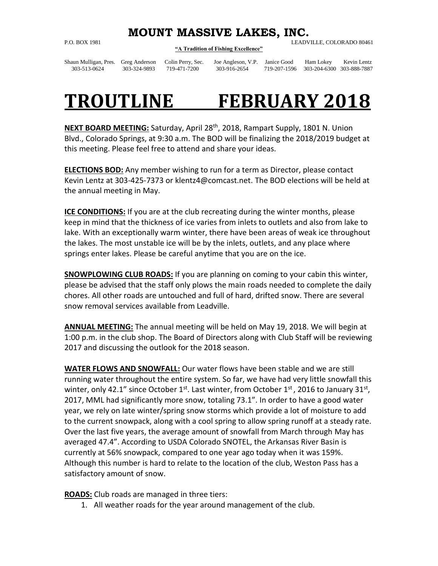## **MOUNT MASSIVE LAKES, INC.**

**"A Tradition of Fishing Excellence"**

P.O. BOX 1981 LEADVILLE, COLORADO 80461

Shaun Mulligan, Pres. Greg Anderson Colin Perry, Sec. Joe Angleson, V.P. Janice Good Ham Lokey Kevin Lentz

303-513-0624 303-324-9893 719-471-7200 303-916-2654 719-207-1596 303-204-6300 303-888-7887

## **TROUTLINE FEBRUARY 2018**

**NEXT BOARD MEETING:** Saturday, April 28th, 2018, Rampart Supply, 1801 N. Union Blvd., Colorado Springs, at 9:30 a.m. The BOD will be finalizing the 2018/2019 budget at this meeting. Please feel free to attend and share your ideas.

**ELECTIONS BOD:** Any member wishing to run for a term as Director, please contact Kevin Lentz at 303-425-7373 or klentz4@comcast.net. The BOD elections will be held at the annual meeting in May.

**ICE CONDITIONS:** If you are at the club recreating during the winter months, please keep in mind that the thickness of ice varies from inlets to outlets and also from lake to lake. With an exceptionally warm winter, there have been areas of weak ice throughout the lakes. The most unstable ice will be by the inlets, outlets, and any place where springs enter lakes. Please be careful anytime that you are on the ice.

**SNOWPLOWING CLUB ROADS:** If you are planning on coming to your cabin this winter, please be advised that the staff only plows the main roads needed to complete the daily chores. All other roads are untouched and full of hard, drifted snow. There are several snow removal services available from Leadville.

**ANNUAL MEETING:** The annual meeting will be held on May 19, 2018. We will begin at 1:00 p.m. in the club shop. The Board of Directors along with Club Staff will be reviewing 2017 and discussing the outlook for the 2018 season.

**WATER FLOWS AND SNOWFALL:** Our water flows have been stable and we are still running water throughout the entire system. So far, we have had very little snowfall this winter, only 42.1" since October 1<sup>st</sup>. Last winter, from October 1<sup>st</sup>, 2016 to January 31<sup>st</sup>, 2017, MML had significantly more snow, totaling 73.1". In order to have a good water year, we rely on late winter/spring snow storms which provide a lot of moisture to add to the current snowpack, along with a cool spring to allow spring runoff at a steady rate. Over the last five years, the average amount of snowfall from March through May has averaged 47.4". According to USDA Colorado SNOTEL, the Arkansas River Basin is currently at 56% snowpack, compared to one year ago today when it was 159%. Although this number is hard to relate to the location of the club, Weston Pass has a satisfactory amount of snow.

**ROADS:** Club roads are managed in three tiers:

1. All weather roads for the year around management of the club.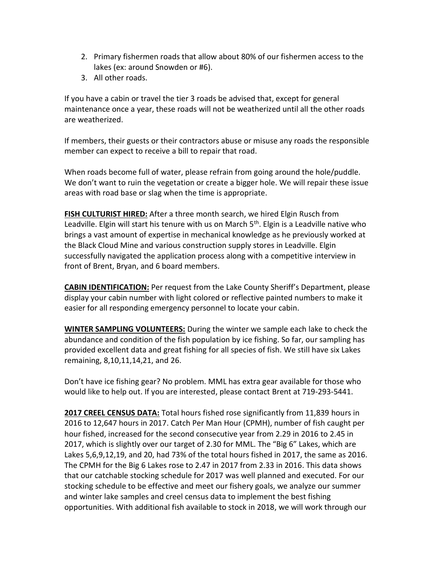- 2. Primary fishermen roads that allow about 80% of our fishermen access to the lakes (ex: around Snowden or #6).
- 3. All other roads.

If you have a cabin or travel the tier 3 roads be advised that, except for general maintenance once a year, these roads will not be weatherized until all the other roads are weatherized.

If members, their guests or their contractors abuse or misuse any roads the responsible member can expect to receive a bill to repair that road.

When roads become full of water, please refrain from going around the hole/puddle. We don't want to ruin the vegetation or create a bigger hole. We will repair these issue areas with road base or slag when the time is appropriate.

**FISH CULTURIST HIRED:** After a three month search, we hired Elgin Rusch from Leadville. Elgin will start his tenure with us on March  $5<sup>th</sup>$ . Elgin is a Leadville native who brings a vast amount of expertise in mechanical knowledge as he previously worked at the Black Cloud Mine and various construction supply stores in Leadville. Elgin successfully navigated the application process along with a competitive interview in front of Brent, Bryan, and 6 board members.

**CABIN IDENTIFICATION:** Per request from the Lake County Sheriff's Department, please display your cabin number with light colored or reflective painted numbers to make it easier for all responding emergency personnel to locate your cabin.

**WINTER SAMPLING VOLUNTEERS:** During the winter we sample each lake to check the abundance and condition of the fish population by ice fishing. So far, our sampling has provided excellent data and great fishing for all species of fish. We still have six Lakes remaining, 8,10,11,14,21, and 26.

Don't have ice fishing gear? No problem. MML has extra gear available for those who would like to help out. If you are interested, please contact Brent at 719-293-5441.

**2017 CREEL CENSUS DATA:** Total hours fished rose significantly from 11,839 hours in 2016 to 12,647 hours in 2017. Catch Per Man Hour (CPMH), number of fish caught per hour fished, increased for the second consecutive year from 2.29 in 2016 to 2.45 in 2017, which is slightly over our target of 2.30 for MML. The "Big 6" Lakes, which are Lakes 5,6,9,12,19, and 20, had 73% of the total hours fished in 2017, the same as 2016. The CPMH for the Big 6 Lakes rose to 2.47 in 2017 from 2.33 in 2016. This data shows that our catchable stocking schedule for 2017 was well planned and executed. For our stocking schedule to be effective and meet our fishery goals, we analyze our summer and winter lake samples and creel census data to implement the best fishing opportunities. With additional fish available to stock in 2018, we will work through our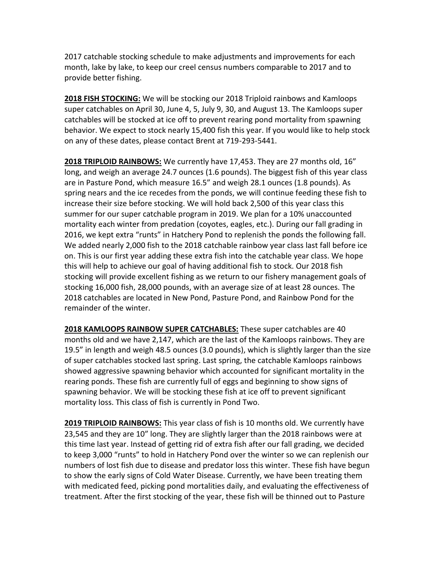2017 catchable stocking schedule to make adjustments and improvements for each month, lake by lake, to keep our creel census numbers comparable to 2017 and to provide better fishing.

**2018 FISH STOCKING:** We will be stocking our 2018 Triploid rainbows and Kamloops super catchables on April 30, June 4, 5, July 9, 30, and August 13. The Kamloops super catchables will be stocked at ice off to prevent rearing pond mortality from spawning behavior. We expect to stock nearly 15,400 fish this year. If you would like to help stock on any of these dates, please contact Brent at 719-293-5441.

**2018 TRIPLOID RAINBOWS:** We currently have 17,453. They are 27 months old, 16" long, and weigh an average 24.7 ounces (1.6 pounds). The biggest fish of this year class are in Pasture Pond, which measure 16.5" and weigh 28.1 ounces (1.8 pounds). As spring nears and the ice recedes from the ponds, we will continue feeding these fish to increase their size before stocking. We will hold back 2,500 of this year class this summer for our super catchable program in 2019. We plan for a 10% unaccounted mortality each winter from predation (coyotes, eagles, etc.). During our fall grading in 2016, we kept extra "runts" in Hatchery Pond to replenish the ponds the following fall. We added nearly 2,000 fish to the 2018 catchable rainbow year class last fall before ice on. This is our first year adding these extra fish into the catchable year class. We hope this will help to achieve our goal of having additional fish to stock. Our 2018 fish stocking will provide excellent fishing as we return to our fishery management goals of stocking 16,000 fish, 28,000 pounds, with an average size of at least 28 ounces. The 2018 catchables are located in New Pond, Pasture Pond, and Rainbow Pond for the remainder of the winter.

**2018 KAMLOOPS RAINBOW SUPER CATCHABLES:** These super catchables are 40 months old and we have 2,147, which are the last of the Kamloops rainbows. They are 19.5" in length and weigh 48.5 ounces (3.0 pounds), which is slightly larger than the size of super catchables stocked last spring. Last spring, the catchable Kamloops rainbows showed aggressive spawning behavior which accounted for significant mortality in the rearing ponds. These fish are currently full of eggs and beginning to show signs of spawning behavior. We will be stocking these fish at ice off to prevent significant mortality loss. This class of fish is currently in Pond Two.

**2019 TRIPLOID RAINBOWS:** This year class of fish is 10 months old. We currently have 23,545 and they are 10" long. They are slightly larger than the 2018 rainbows were at this time last year. Instead of getting rid of extra fish after our fall grading, we decided to keep 3,000 "runts" to hold in Hatchery Pond over the winter so we can replenish our numbers of lost fish due to disease and predator loss this winter. These fish have begun to show the early signs of Cold Water Disease. Currently, we have been treating them with medicated feed, picking pond mortalities daily, and evaluating the effectiveness of treatment. After the first stocking of the year, these fish will be thinned out to Pasture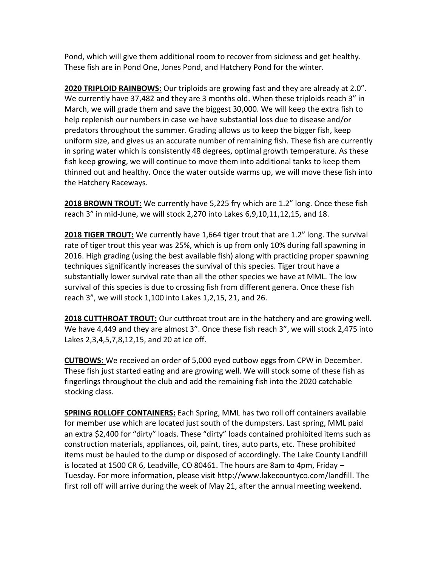Pond, which will give them additional room to recover from sickness and get healthy. These fish are in Pond One, Jones Pond, and Hatchery Pond for the winter.

**2020 TRIPLOID RAINBOWS:** Our triploids are growing fast and they are already at 2.0". We currently have 37,482 and they are 3 months old. When these triploids reach 3" in March, we will grade them and save the biggest 30,000. We will keep the extra fish to help replenish our numbers in case we have substantial loss due to disease and/or predators throughout the summer. Grading allows us to keep the bigger fish, keep uniform size, and gives us an accurate number of remaining fish. These fish are currently in spring water which is consistently 48 degrees, optimal growth temperature. As these fish keep growing, we will continue to move them into additional tanks to keep them thinned out and healthy. Once the water outside warms up, we will move these fish into the Hatchery Raceways.

**2018 BROWN TROUT:** We currently have 5,225 fry which are 1.2" long. Once these fish reach 3" in mid-June, we will stock 2,270 into Lakes 6,9,10,11,12,15, and 18.

**2018 TIGER TROUT:** We currently have 1,664 tiger trout that are 1.2" long. The survival rate of tiger trout this year was 25%, which is up from only 10% during fall spawning in 2016. High grading (using the best available fish) along with practicing proper spawning techniques significantly increases the survival of this species. Tiger trout have a substantially lower survival rate than all the other species we have at MML. The low survival of this species is due to crossing fish from different genera. Once these fish reach 3", we will stock 1,100 into Lakes 1,2,15, 21, and 26.

**2018 CUTTHROAT TROUT:** Our cutthroat trout are in the hatchery and are growing well. We have 4,449 and they are almost 3". Once these fish reach 3", we will stock 2,475 into Lakes 2,3,4,5,7,8,12,15, and 20 at ice off.

**CUTBOWS:** We received an order of 5,000 eyed cutbow eggs from CPW in December. These fish just started eating and are growing well. We will stock some of these fish as fingerlings throughout the club and add the remaining fish into the 2020 catchable stocking class.

**SPRING ROLLOFF CONTAINERS:** Each Spring, MML has two roll off containers available for member use which are located just south of the dumpsters. Last spring, MML paid an extra \$2,400 for "dirty" loads. These "dirty" loads contained prohibited items such as construction materials, appliances, oil, paint, tires, auto parts, etc. These prohibited items must be hauled to the dump or disposed of accordingly. The Lake County Landfill is located at 1500 CR 6, Leadville, CO 80461. The hours are 8am to 4pm, Friday – Tuesday. For more information, please visit [http://www.lakecountyco.com/landfill.](http://www.lakecountyco.com/landfill) The first roll off will arrive during the week of May 21, after the annual meeting weekend.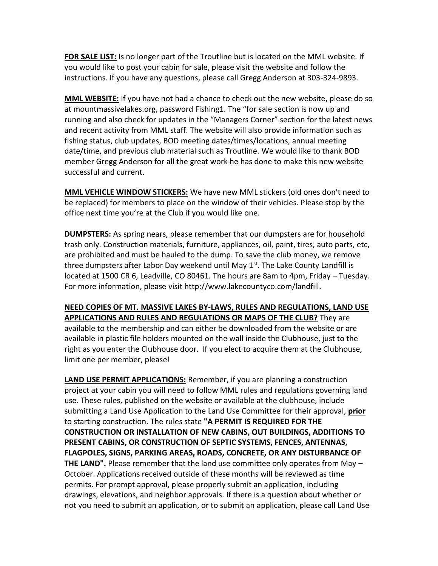**FOR SALE LIST:** Is no longer part of the Troutline but is located on the MML website. If you would like to post your cabin for sale, please visit the website and follow the instructions. If you have any questions, please call Gregg Anderson at 303-324-9893.

**MML WEBSITE:** If you have not had a chance to check out the new website, please do so at mountmassivelakes.org, password Fishing1. The "for sale section is now up and running and also check for updates in the "Managers Corner" section for the latest news and recent activity from MML staff. The website will also provide information such as fishing status, club updates, BOD meeting dates/times/locations, annual meeting date/time, and previous club material such as Troutline. We would like to thank BOD member Gregg Anderson for all the great work he has done to make this new website successful and current.

**MML VEHICLE WINDOW STICKERS:** We have new MML stickers (old ones don't need to be replaced) for members to place on the window of their vehicles. Please stop by the office next time you're at the Club if you would like one.

**DUMPSTERS:** As spring nears, please remember that our dumpsters are for household trash only. Construction materials, furniture, appliances, oil, paint, tires, auto parts, etc, are prohibited and must be hauled to the dump. To save the club money, we remove three dumpsters after Labor Day weekend until May  $1<sup>st</sup>$ . The Lake County Landfill is located at 1500 CR 6, Leadville, CO 80461. The hours are 8am to 4pm, Friday – Tuesday. For more information, please visi[t http://www.lakecountyco.com/landfill.](http://www.lakecountyco.com/landfill)

## **NEED COPIES OF MT. MASSIVE LAKES BY-LAWS, RULES AND REGULATIONS, LAND USE APPLICATIONS AND RULES AND REGULATIONS OR MAPS OF THE CLUB?** They are available to the membership and can either be downloaded from the website or are available in plastic file holders mounted on the wall inside the Clubhouse, just to the right as you enter the Clubhouse door. If you elect to acquire them at the Clubhouse, limit one per member, please!

**LAND USE PERMIT APPLICATIONS:** Remember, if you are planning a construction project at your cabin you will need to follow MML rules and regulations governing land use. These rules, published on the website or available at the clubhouse, include submitting a Land Use Application to the Land Use Committee for their approval, **prior** to starting construction. The rules state **"A PERMIT IS REQUIRED FOR THE CONSTRUCTION OR INSTALLATION OF NEW CABINS, OUT BUILDINGS, ADDITIONS TO PRESENT CABINS, OR CONSTRUCTION OF SEPTIC SYSTEMS, FENCES, ANTENNAS, FLAGPOLES, SIGNS, PARKING AREAS, ROADS, CONCRETE, OR ANY DISTURBANCE OF THE LAND".** Please remember that the land use committee only operates from May – October. Applications received outside of these months will be reviewed as time permits. For prompt approval, please properly submit an application, including drawings, elevations, and neighbor approvals. If there is a question about whether or not you need to submit an application, or to submit an application, please call Land Use